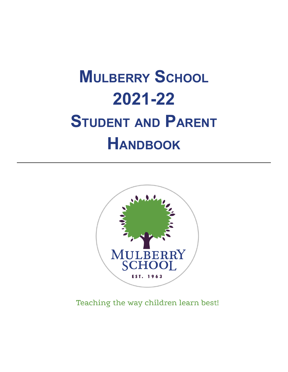# **MULBERRY SCHOOL 2021-22 STUDENT AND PARENT HANDBOOK**



Teaching the way children learn best!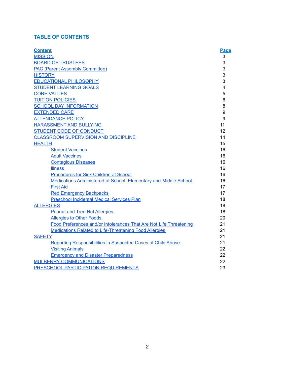# **TABLE OF CONTENTS**

| <b>Content</b>                                                     | Page           |
|--------------------------------------------------------------------|----------------|
| <b>MISSION</b>                                                     | 3              |
| <b>BOARD OF TRUSTEES</b>                                           | 3              |
| <b>PAC (Parent Assembly Committee)</b>                             | 3              |
| <b>HISTORY</b>                                                     | 3              |
| <b>EDUCATIONAL PHILOSOPHY</b>                                      | 3              |
| <b>STUDENT LEARNING GOALS</b>                                      | $\overline{4}$ |
| <b>CORE VALUES</b>                                                 | 5              |
| <b>TUITION POLICIES</b>                                            | 6              |
| <b>SCHOOL DAY INFORMATION</b>                                      | 8              |
| <b>EXTENDED CARE</b>                                               | 9              |
| <b>ATTENDANCE POLICY</b>                                           | 9              |
| <b>HARASSMENT AND BULLYING</b>                                     | 11             |
| STUDENT CODE OF CONDUCT                                            | 12             |
| <b>CLASSROOM SUPERVISION AND DISCIPLINE</b>                        | 14             |
| <b>HEALTH</b>                                                      | 15             |
| <b>Student Vaccines</b>                                            | 16             |
| <b>Adult Vaccines</b>                                              | 16             |
| <b>Contagious Diseases</b>                                         | 16             |
| <b>Illness</b>                                                     | 16             |
| Procedures for Sick Children at School                             | 16             |
| Medications Administered at School: Elementary and Middle School   | 16             |
| <b>First Aid</b>                                                   | 17             |
| <b>Red Emergency Backpacks</b>                                     | 17             |
| <b>Preschool Incidental Medical Services Plan</b>                  | 18             |
| <b>ALLERGIES</b>                                                   | 18             |
| <b>Peanut and Tree Nut Allergies</b>                               | 18             |
| <b>Allergies to Other Foods</b>                                    | 20             |
| Food Preferences and/or Intolerances That Are Not Life Threatening | 21             |
| <b>Medications Related to Life-Threatening Food Allergies</b>      | 21             |
| <b>SAFETY</b>                                                      | 21             |
| Reporting Responsibilities in Suspected Cases of Child Abuse       | 21             |
| <b>Visiting Animals</b>                                            | 22             |
| <b>Emergency and Disaster Preparedness</b>                         | 22             |
| <b>MULBERRY COMMUNICATIONS</b>                                     | 22             |
| <b>PRESCHOOL PARTICIPATION REQUIREMENTS</b>                        | 23             |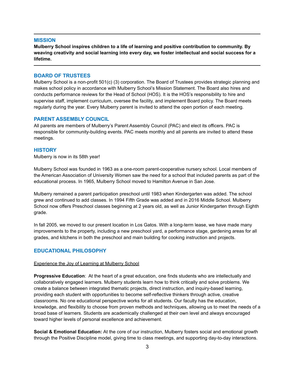## <span id="page-2-0"></span>**MISSION**

**Mulberry School inspires children to a life of learning and positive contribution to community. By weaving creativity and social learning into every day, we foster intellectual and social success for a lifetime.**

## <span id="page-2-1"></span>**BOARD OF TRUSTEES**

Mulberry School is a non-profit 501(c) (3) corporation. The Board of Trustees provides strategic planning and makes school policy in accordance with Mulberry School's Mission Statement. The Board also hires and conducts performance reviews for the Head of School (HOS). It is the HOS's responsibility to hire and supervise staff, implement curriculum, oversee the facility, and implement Board policy. The Board meets regularly during the year. Every Mulberry parent is invited to attend the open portion of each meeting.

## <span id="page-2-2"></span>**PARENT ASSEMBLY COUNCIL**

All parents are members of Mulberry's Parent Assembly Council (PAC) and elect its officers. PAC is responsible for community-building events. PAC meets monthly and all parents are invited to attend these meetings.

## <span id="page-2-3"></span>**HISTORY**

Mulberry is now in its 58th year!

Mulberry School was founded in 1963 as a one-room parent-cooperative nursery school. Local members of the American Association of University Women saw the need for a school that included parents as part of the educational process. In 1965, Mulberry School moved to Hamilton Avenue in San Jose.

Mulberry remained a parent participation preschool until 1983 when Kindergarten was added. The school grew and continued to add classes. In 1994 Fifth Grade was added and in 2016 Middle School. Mulberry School now offers Preschool classes beginning at 2 years old, as well as Junior Kindergarten through Eighth grade.

In fall 2005, we moved to our present location in Los Gatos. With a long-term lease, we have made many improvements to the property, including a new preschool yard, a performance stage, gardening areas for all grades, and kitchens in both the preschool and main building for cooking instruction and projects.

## <span id="page-2-4"></span>**EDUCATIONAL PHILOSOPHY**

#### Experience the Joy of Learning at Mulberry School

**Progressive Education**: At the heart of a great education, one finds students who are intellectually and collaboratively engaged learners. Mulberry students learn how to think critically and solve problems. We create a balance between integrated thematic projects, direct instruction, and inquiry-based learning, providing each student with opportunities to become self-reflective thinkers through active, creative classrooms. No one educational perspective works for all students. Our faculty has the education, knowledge, and flexibility to choose from proven methods and techniques, allowing us to meet the needs of a broad base of learners. Students are academically challenged at their own level and always encouraged toward higher levels of personal excellence and achievement.

**Social & Emotional Education:** At the core of our instruction, Mulberry fosters social and emotional growth through the Positive Discipline model, giving time to class meetings, and supporting day-to-day interactions.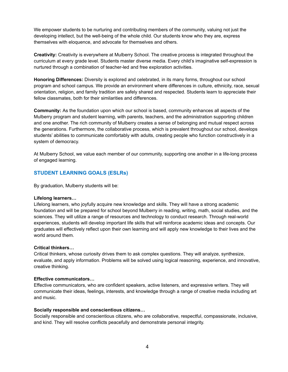We empower students to be nurturing and contributing members of the community, valuing not just the developing intellect, but the well-being of the whole child. Our students know who they are, express themselves with eloquence, and advocate for themselves and others.

**Creativity:** Creativity is everywhere at Mulberry School. The creative process is integrated throughout the curriculum at every grade level. Students master diverse media. Every child's imaginative self-expression is nurtured through a combination of teacher-led and free exploration activities.

**Honoring Differences:** Diversity is explored and celebrated, in its many forms, throughout our school program and school campus. We provide an environment where differences in culture, ethnicity, race, sexual orientation, religion, and family tradition are safely shared and respected. Students learn to appreciate their fellow classmates, both for their similarities and differences.

**Community:** As the foundation upon which our school is based, community enhances all aspects of the Mulberry program and student learning, with parents, teachers, and the administration supporting children and one another. The rich community of Mulberry creates a sense of belonging and mutual respect across the generations. Furthermore, the collaborative process, which is prevalent throughout our school, develops students' abilities to communicate comfortably with adults, creating people who function constructively in a system of democracy.

At Mulberry School, we value each member of our community, supporting one another in a life-long process of engaged learning.

# <span id="page-3-0"></span>**STUDENT LEARNING GOALS (ESLRs)**

By graduation, Mulberry students will be:

#### **Lifelong learners…**

Lifelong learners, who joyfully acquire new knowledge and skills. They will have a strong academic foundation and will be prepared for school beyond Mulberry in reading, writing, math, social studies, and the sciences. They will utilize a range of resources and technology to conduct research. Through real-world experiences, students will develop important life skills that will reinforce academic ideas and concepts. Our graduates will effectively reflect upon their own learning and will apply new knowledge to their lives and the world around them.

## **Critical thinkers…**

Critical thinkers, whose curiosity drives them to ask complex questions. They will analyze, synthesize, evaluate, and apply information. Problems will be solved using logical reasoning, experience, and innovative, creative thinking.

#### **Effective communicators…**

Effective communicators, who are confident speakers, active listeners, and expressive writers. They will communicate their ideas, feelings, interests, and knowledge through a range of creative media including art and music.

#### **Socially responsible and conscientious citizens…**

Socially responsible and conscientious citizens, who are collaborative, respectful, compassionate, inclusive, and kind. They will resolve conflicts peacefully and demonstrate personal integrity.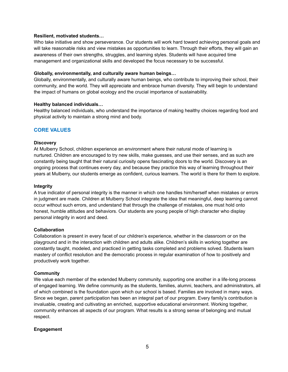## **Resilient, motivated students…**

Who take initiative and show perseverance. Our students will work hard toward achieving personal goals and will take reasonable risks and view mistakes as opportunities to learn. Through their efforts, they will gain an awareness of their own strengths, struggles, and learning styles. Students will have acquired time management and organizational skills and developed the focus necessary to be successful.

#### **Globally, environmentally, and culturally aware human beings…**

Globally, environmentally, and culturally aware human beings, who contribute to improving their school, their community, and the world. They will appreciate and embrace human diversity. They will begin to understand the impact of humans on global ecology and the crucial importance of sustainability.

## **Healthy balanced individuals…**

Healthy balanced individuals, who understand the importance of making healthy choices regarding food and physical activity to maintain a strong mind and body.

## <span id="page-4-0"></span>**CORE VALUES**

## **Discovery**

At Mulberry School, children experience an environment where their natural mode of learning is nurtured. Children are encouraged to try new skills, make guesses, and use their senses, and as such are constantly being taught that their natural curiosity opens fascinating doors to the world. Discovery is an ongoing process that continues every day, and because they practice this way of learning throughout their years at Mulberry, our students emerge as confident, curious learners. The world is there for them to explore.

#### **Integrity**

A true indicator of personal integrity is the manner in which one handles him/herself when mistakes or errors in judgment are made. Children at Mulberry School integrate the idea that meaningful, deep learning cannot occur without such errors, and understand that through the challenge of mistakes, one must hold onto honest, humble attitudes and behaviors. Our students are young people of high character who display personal integrity in word and deed.

## **Collaboration**

Collaboration is present in every facet of our children's experience, whether in the classroom or on the playground and in the interaction with children and adults alike. Children's skills in working together are constantly taught, modeled, and practiced in getting tasks completed and problems solved. Students learn mastery of conflict resolution and the democratic process in regular examination of how to positively and productively work together.

#### **Community**

We value each member of the extended Mulberry community, supporting one another in a life-long process of engaged learning. We define community as the students, families, alumni, teachers, and administrators, all of which combined is the foundation upon which our school is based. Families are involved in many ways. Since we began, parent participation has been an integral part of our program. Every family's contribution is invaluable, creating and cultivating an enriched, supportive educational environment. Working together, community enhances all aspects of our program. What results is a strong sense of belonging and mutual respect.

## **Engagement**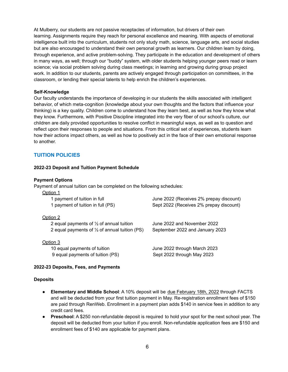At Mulberry, our students are not passive receptacles of information, but drivers of their own learning. Assignments require they reach for personal excellence and meaning. With aspects of emotional intelligence built into the curriculum, students not only study math, science, language arts, and social studies but are also encouraged to understand their own personal growth as learners. Our children learn by doing, through experience, and active problem-solving. They participate in the education and development of others in many ways, as well; through our "buddy" system, with older students helping younger peers read or learn science; via social problem solving during class meetings; in learning and growing during group project work. In addition to our students, parents are actively engaged through participation on committees, in the classroom, or lending their special talents to help enrich the children's experiences.

## **Self-Knowledge**

Our faculty understands the importance of developing in our students the skills associated with intelligent behavior, of which meta-cognition (knowledge about your own thoughts and the factors that influence your thinking) is a key quality. Children come to understand how they learn best, as well as how they know what they know. Furthermore, with Positive Discipline integrated into the very fiber of our school's culture, our children are daily provided opportunities to resolve conflict in meaningful ways, as well as to question and reflect upon their responses to people and situations. From this critical set of experiences, students learn how their actions impact others, as well as how to positively act in the face of their own emotional response to another.

# <span id="page-5-0"></span>**TUITION POLICIES**

## **2022-23 Deposit and Tuition Payment Schedule**

#### **Payment Options**

Payment of annual tuition can be completed on the following schedules:

| Option 1                                                 |                                         |
|----------------------------------------------------------|-----------------------------------------|
| 1 payment of tuition in full                             | June 2022 (Receives 2% prepay discount) |
| 1 payment of tuition in full (PS)                        | Sept 2022 (Receives 2% prepay discount) |
| Option 2                                                 |                                         |
| 2 equal payments of $\frac{1}{2}$ of annual tuition      | June 2022 and November 2022             |
| 2 equal payments of $\frac{1}{2}$ of annual tuition (PS) | September 2022 and January 2023         |
| Option 3                                                 |                                         |
| 10 equal payments of tuition                             | June 2022 through March 2023            |
| 9 equal payments of tuition (PS)                         | Sept 2022 through May 2023              |

## **2022-23 Deposits, Fees, and Payments**

#### **Deposits**

- **Elementary and Middle School**: A 10% deposit will be due February 18th, 2022 through FACTS and will be deducted from your first tuition payment in May. Re-registration enrollment fees of \$150 are paid through RenWeb. Enrollment in a payment plan adds \$140 in service fees in addition to any credit card fees.
- **Preschool**: A \$250 non-refundable deposit is required to hold your spot for the next school year. The deposit will be deducted from your tuition if you enroll. Non-refundable application fees are \$150 and enrollment fees of \$140 are applicable for payment plans.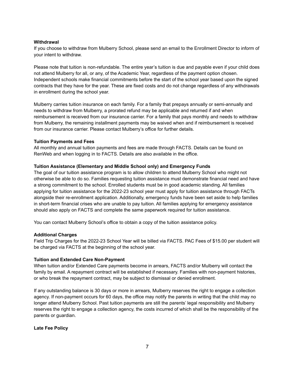## **Withdrawal**

If you choose to withdraw from Mulberry School, please send an email to the Enrollment Director to inform of your intent to withdraw.

Please note that tuition is non-refundable. The entire year's tuition is due and payable even if your child does not attend Mulberry for all, or any, of the Academic Year, regardless of the payment option chosen. Independent schools make financial commitments before the start of the school year based upon the signed contracts that they have for the year. These are fixed costs and do not change regardless of any withdrawals in enrollment during the school year.

Mulberry carries tuition insurance on each family. For a family that prepays annually or semi-annually and needs to withdraw from Mulberry, a prorated refund may be applicable and returned if and when reimbursement is received from our insurance carrier. For a family that pays monthly and needs to withdraw from Mulberry, the remaining installment payments may be waived when and if reimbursement is received from our insurance carrier. Please contact Mulberry's office for further details.

## **Tuition Payments and Fees**

All monthly and annual tuition payments and fees are made through FACTS. Details can be found on RenWeb and when logging in to FACTS. Details are also available in the office.

## **Tuition Assistance (Elementary and Middle School only) and Emergency Funds**

The goal of our tuition assistance program is to allow children to attend Mulberry School who might not otherwise be able to do so. Families requesting tuition assistance must demonstrate financial need and have a strong commitment to the school. Enrolled students must be in good academic standing. All families applying for tuition assistance for the 2022-23 school year must apply for tuition assistance through FACTs alongside their re-enrollment application. Additionally, emergency funds have been set aside to help families in short-term financial crises who are unable to pay tuition. All families applying for emergency assistance should also apply on FACTS and complete the same paperwork required for tuition assistance.

You can contact Mulberry School's office to obtain a copy of the tuition assistance policy.

#### **Additional Charges**

Field Trip Charges for the 2022-23 School Year will be billed via FACTS. PAC Fees of \$15.00 per student will be charged via FACTS at the beginning of the school year.

#### **Tuition and Extended Care Non-Payment**

When tuition and/or Extended Care payments become in arrears, FACTS and/or Mulberry will contact the family by email. A repayment contract will be established if necessary. Families with non-payment histories, or who break the repayment contract, may be subject to dismissal or denied enrollment.

If any outstanding balance is 30 days or more in arrears, Mulberry reserves the right to engage a collection agency. If non-payment occurs for 60 days, the office may notify the parents in writing that the child may no longer attend Mulberry School. Past tuition payments are still the parents' legal responsibility and Mulberry reserves the right to engage a collection agency, the costs incurred of which shall be the responsibility of the parents or guardian.

**Late Fee Policy**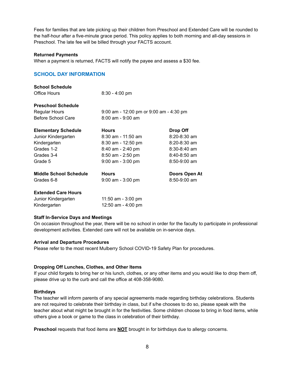Fees for families that are late picking up their children from Preschool and Extended Care will be rounded to the half-hour after a five-minute grace period. This policy applies to both morning and all-day sessions in Preschool. The late fee will be billed through your FACTS account.

#### **Returned Payments**

When a payment is returned, FACTS will notify the payee and assess a \$30 fee.

# <span id="page-7-0"></span>**SCHOOL DAY INFORMATION**

| <b>School Schedule</b>        |                                         |                  |
|-------------------------------|-----------------------------------------|------------------|
| Office Hours                  | $8:30 - 4:00$ pm                        |                  |
| <b>Preschool Schedule</b>     |                                         |                  |
| <b>Regular Hours</b>          | 9:00 am - 12:00 pm or 9:00 am - 4:30 pm |                  |
| Before School Care            | $8:00$ am - $9:00$ am                   |                  |
| <b>Elementary Schedule</b>    | <b>Hours</b>                            | Drop Off         |
| Junior Kindergarten           | $8:30$ am - 11:50 am                    | $8:20 - 8:30$ am |
| Kindergarten                  | $8:30$ am - 12:50 pm                    | 8:20-8:30 am     |
| Grades 1-2                    | $8:40$ am - 2:40 pm                     | $8:30 - 8:40$ am |
| Grades 3-4                    | $8:50$ am - 2:50 pm                     | $8:40-8:50$ am   |
| Grade 5                       | $9:00$ am - $3:00$ pm                   | $8:50-9:00$ am   |
| <b>Middle School Schedule</b> | <b>Hours</b>                            | Doors Open At    |
| Grades 6-8                    | $9:00$ am - $3:00$ pm                   | $8:50-9:00$ am   |
| <b>Extended Care Hours</b>    |                                         |                  |
| Junior Kindergarten           | 11:50 am - 3:00 pm                      |                  |
| Kindergarten                  | 12:50 am - 4:00 pm                      |                  |
|                               |                                         |                  |

#### **Staff In-Service Days and Meetings**

On occasion throughout the year, there will be no school in order for the faculty to participate in professional development activities. Extended care will not be available on in-service days.

#### **Arrival and Departure Procedures**

Please refer to the most recent Mulberry School COVID-19 Safety Plan for procedures.

## **Dropping Off Lunches, Clothes, and Other Items**

If your child forgets to bring her or his lunch, clothes, or any other items and you would like to drop them off, please drive up to the curb and call the office at 408-358-9080.

#### **Birthdays**

The teacher will inform parents of any special agreements made regarding birthday celebrations. Students are not required to celebrate their birthday in class, but if s/he chooses to do so, please speak with the teacher about what might be brought in for the festivities. Some children choose to bring in food items, while others give a book or game to the class in celebration of their birthday.

**Preschool** requests that food items are **NOT** brought in for birthdays due to allergy concerns.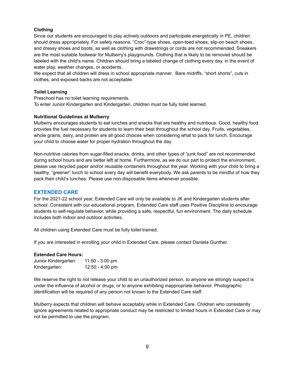## **Clothing**

Since our students are encouraged to play actively outdoors and participate energetically in PE, children should dress appropriately. For safety reasons, "Croc"-type shoes, open-toed shoes, slip-on beach shoes, and dressy shoes and boots, as well as clothing with drawstrings or cords are not recommended. Sneakers are the most suitable footwear for Mulberry's playgrounds. Clothing that is likely to be removed should be labeled with the child's name. Children should bring a labeled change of clothing every day, in the event of water play, weather changes, or accidents.

We expect that all children will dress in school appropriate manner. Bare midriffs, "short shorts", cuts in clothes, and exposed backs are not acceptable.

## **Toilet Learning**

Preschool has no toilet learning requirements. To enter Junior Kindergarten and Kindergarten, children must be fully toilet learned.

## **Nutritional Guidelines at Mulberry**

Mulberry encourages students to eat lunches and snacks that are healthy and nutritious. Good, healthy food provides the fuel necessary for students to learn their best throughout the school day. Fruits, vegetables, whole grains, dairy, and protein are all good choices when considering what to pack for lunch. Encourage your child to choose water for proper hydration throughout the day.

Non-nutritive calories from sugar-filled snacks, drinks, and other types of "junk food" are not recommended during school hours and are better left at home. Furthermore, as we do our part to protect the environment, please use recycled paper and/or reusable containers throughout the year. Working with your child to bring a healthy, "greener" lunch to school every day will benefit everybody. We ask parents to be mindful of how they pack their child's lunches. Please use non-disposable items whenever possible.

## <span id="page-8-0"></span>**EXTENDED CARE**

For the 2021-22 school year, Extended Care will only be available to JK and Kindergarten students after school. Consistent with our educational program, Extended Care staff uses Positive Discipline to encourage students to self-regulate behavior, while providing a safe, respectful, fun environment. The daily schedule includes both indoor and outdoor activities.

All children using Extended Care must be fully toilet trained.

If you are interested in enrolling your child in Extended Care, please contact Daniela Gunther.

## **Extended Care Hours:**

| Junior Kindergarten: | $11:50 - 3:00$ pm |
|----------------------|-------------------|
| Kindergarten:        | $12:50 - 4:00$ pm |

We reserve the right to not release your child to an unauthorized person, to anyone we strongly suspect is under the influence of alcohol or drugs, or to anyone exhibiting inappropriate behavior. Photographic identification will be required of any person not known to the Extended Care staff.

Mulberry expects that children will behave acceptably while in Extended Care. Children who consistently ignore agreements related to appropriate conduct may be restricted to limited hours in Extended Care or may not be permitted to use the program.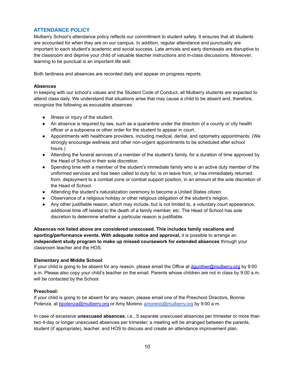## <span id="page-9-0"></span>**ATTENDANCE POLICY**

Mulberry School's attendance policy reflects our commitment to student safety. It ensures that all students are accounted for when they are on our campus. In addition, regular attendance and punctuality are important to each student's academic and social success. Late arrivals and early dismissals are disruptive to the classroom and deprive your child of valuable teacher instructions and in-class discussions. Moreover, learning to be punctual is an important life skill.

Both tardiness and absences are recorded daily and appear on progress reports.

#### **Absences**

In keeping with our school's values and the Student Code of Conduct, all Mulberry students are expected to attend class daily. We understand that situations arise that may cause a child to be absent and, therefore, recognize the following as excusable absences:

- Illness or injury of the student.
- An absence is required by law, such as a quarantine under the direction of a county or city health officer or a subpoena or other order for the student to appear in court.
- Appointments with healthcare providers, including medical, dental, and optometry appointments. (We strongly encourage wellness and other non-urgent appointments to be scheduled after school hours.)
- Attending the funeral services of a member of the student's family, for a duration of time approved by the Head of School in their sole discretion.
- Spending time with a member of the student's immediate family who is an active duty member of the uniformed services and has been called to duty for, is on leave from, or has immediately returned from, deployment to a combat zone or combat support position, in an amount at the sole discretion of the Head of School.
- Attending the student's naturalization ceremony to become a United States citizen.
- Observance of a religious holiday or other religious obligation of the student's religion.
- Any other justifiable reason, which may include, but is not limited to, a voluntary court appearance, additional time off related to the death of a family member, etc. The Head of School has sole discretion to determine whether a particular reason is justifiable.

**Absences not listed above are considered unexcused. This includes family vacations and sporting/performance events. With adequate notice and approval,** it is possible to arrange an **independent study program to make up missed coursework for extended absences** through your classroom teacher and the HOS.

## **Elementary and Middle School**:

If your child is going to be absent for any reason, please email the Office at [dgunther@mulberry.org](mailto:dgunther@mulberry.org) by 9:00 a.m. Please also copy your child's teacher on the email. Parents whose children are not in class by 9:00 a.m. will be contacted by the School.

## **Preschool:**

If your child is going to be absent for any reason, please email one of the Preschool Directors, Bonnie Potenza, at [bpotenza@mulberry.org](mailto:bpotenza@mulberry.org) or Amy Moreno [amoreno@mulberry.org](mailto:amoreno@mulberry.org) by 9:00 a.m.

In case of excessive **unexcused absences**, i.e., 5 separate unexcused absences per trimester or more than two 4-day or longer unexcused absences per trimester, a meeting will be arranged between the parents, student (if appropriate), teacher, and HOS to discuss and create an attendance improvement plan.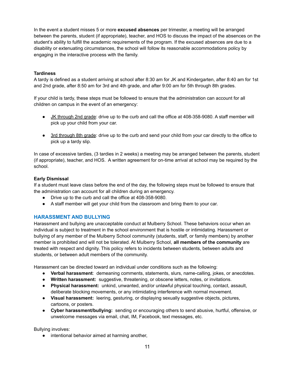In the event a student misses 5 or more **excused absences** per trimester, a meeting will be arranged between the parents, student (if appropriate), teacher, and HOS to discuss the impact of the absences on the student's ability to fulfill the academic requirements of the program. If the excused absences are due to a disability or extenuating circumstances, the school will follow its reasonable accommodations policy by engaging in the interactive process with the family.

## **Tardiness**

A tardy is defined as a student arriving at school after 8:30 am for JK and Kindergarten, after 8:40 am for 1st and 2nd grade, after 8:50 am for 3rd and 4th grade, and after 9:00 am for 5th through 8th grades.

If your child is tardy, these steps must be followed to ensure that the administration can account for all children on campus in the event of an emergency:

- JK through 2nd grade: drive up to the curb and call the office at 408-358-9080. A staff member will pick up your child from your car.
- 3rd through 8th grade: drive up to the curb and send your child from your car directly to the office to pick up a tardy slip.

In case of excessive tardies, (3 tardies in 2 weeks) a meeting may be arranged between the parents, student (if appropriate), teacher, and HOS. A written agreement for on-time arrival at school may be required by the school.

## **Early Dismissal**

If a student must leave class before the end of the day, the following steps must be followed to ensure that the administration can account for all children during an emergency.

- Drive up to the curb and call the office at 408-358-9080.
- A staff member will get your child from the classroom and bring them to your car.

# <span id="page-10-0"></span>**HARASSMENT AND BULLYING**

Harassment and bullying are unacceptable conduct at Mulberry School. These behaviors occur when an individual is subject to treatment in the school environment that is hostile or intimidating. Harassment or bullying of any member of the Mulberry School community (students, staff, or family members) by another member is prohibited and will not be tolerated. At Mulberry School, **all members of the community** are treated with respect and dignity. This policy refers to incidents between students, between adults and students, or between adult members of the community.

Harassment can be directed toward an individual under conditions such as the following:

- **Verbal harassment**: demeaning comments, statements, slurs, name-calling, jokes, or anecdotes.
- **Written harassment:** suggestive, threatening, or obscene letters, notes, or invitations.
- **Physical harassment:** unkind, unwanted, and/or unlawful physical touching, contact, assault, deliberate blocking movements, or any intimidating interference with normal movement.
- **Visual harassment:** leering, gesturing, or displaying sexually suggestive objects, pictures, cartoons, or posters.
- **Cyber harassment/bullying:** sending or encouraging others to send abusive, hurtful, offensive, or unwelcome messages via email, chat, IM, Facebook, text messages, etc.

Bullying involves:

● intentional behavior aimed at harming another,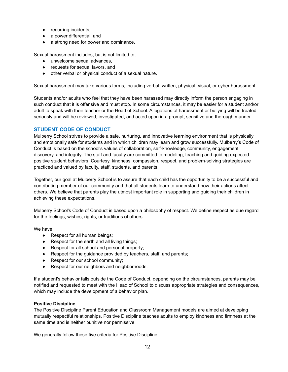- recurring incidents,
- a power differential, and
- a strong need for power and dominance.

Sexual harassment includes, but is not limited to,

- unwelcome sexual advances.
- requests for sexual favors, and
- other verbal or physical conduct of a sexual nature.

Sexual harassment may take various forms, including verbal, written, physical, visual, or cyber harassment.

Students and/or adults who feel that they have been harassed may directly inform the person engaging in such conduct that it is offensive and must stop. In some circumstances, it may be easier for a student and/or adult to speak with their teacher or the Head of School. Allegations of harassment or bullying will be treated seriously and will be reviewed, investigated, and acted upon in a prompt, sensitive and thorough manner.

## <span id="page-11-0"></span>**STUDENT CODE OF CONDUCT**

Mulberry School strives to provide a safe, nurturing, and innovative learning environment that is physically and emotionally safe for students and in which children may learn and grow successfully. Mulberry's Code of Conduct is based on the school's values of collaboration, self-knowledge, community, engagement, discovery, and integrity. The staff and faculty are committed to modeling, teaching and guiding expected positive student behaviors. Courtesy, kindness, compassion, respect, and problem-solving strategies are practiced and valued by faculty, staff, students, and parents.

Together, our goal at Mulberry School is to assure that each child has the opportunity to be a successful and contributing member of our community and that all students learn to understand how their actions affect others. We believe that parents play the utmost important role in supporting and guiding their children in achieving these expectations.

Mulberry School's Code of Conduct is based upon a philosophy of respect. We define respect as due regard for the feelings, wishes, rights, or traditions of others.

We have:

- Respect for all human beings;
- Respect for the earth and all living things;
- Respect for all school and personal property;
- Respect for the guidance provided by teachers, staff, and parents;
- Respect for our school community;
- Respect for our neighbors and neighborhoods.

If a student's behavior falls outside the Code of Conduct, depending on the circumstances, parents may be notified and requested to meet with the Head of School to discuss appropriate strategies and consequences, which may include the development of a behavior plan.

## **Positive Discipline**

The Positive Discipline Parent [Education](https://www.positivediscipline.com/products/teaching-parenting-dvd-facilitator-training-complete-package) and Classroom [Management](https://www.positivediscipline.com/products/positive-discipline-classroom-dvd-training) models are aimed at developing mutually respectful relationships. Positive Discipline teaches adults to employ kindness and firmness at the same time and is neither punitive nor permissive.

We generally follow these five criteria for Positive Discipline: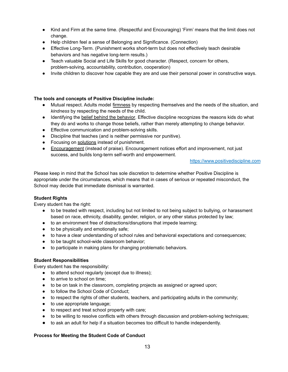- Kind and Firm at the same time. (Respectful and Encouraging) 'Firm' means that the limit does not change.
- Help children feel a sense of Belonging and Significance. (Connection)
- Effective Long-Term. (Punishment works short-term but does not effectively teach desirable behaviors and has negative long-term results.)
- Teach valuable Social and Life Skills for good character. (Respect, concern for others, problem-solving, accountability, contribution, cooperation)
- Invite children to discover how capable they are and use their personal power in constructive ways.

## **The tools and concepts of Positive Discipline include:**

- Mutual respect. Adults model firmness by respecting themselves and the needs of the situation, and *kindness* by respecting the needs of the child.
- Identifying the belief behind the [behavior.](https://www.positivediscipline.com/sites/default/files/mistakengoalchart.pdf) Effective discipline recognizes the reasons kids do what they do and works to change those beliefs, rather than merely attempting to change behavior.
- Effective communication and problem-solving skills.
- Discipline that teaches (and is neither permissive nor punitive).
- Focusing on [solutions](https://www.positivediscipline.com/articles/focus-solutions) instead of punishment.
- [Encouragement](https://www.positivediscipline.com/articles/encouragement-what-does-it-mean-and-how-it-done) (instead of praise). Encouragement notices effort and improvement, not just success, and builds long-term self-worth and empowerment.

#### [https://www.positivediscipline.com](https://www.positivediscipline.com/)

Please keep in mind that the School has sole discretion to determine whether Positive Discipline is appropriate under the circumstances, which means that in cases of serious or repeated misconduct, the School may decide that immediate dismissal is warranted.

## **Student Rights**

Every student has the right:

- to be treated with respect, including but not limited to not being subject to bullying, or harassment based on race, ethnicity, disability, gender, religion, or any other status protected by law;
- to an environment free of distractions/disruptions that impede learning;
- to be physically and emotionally safe;
- to have a clear understanding of school rules and behavioral expectations and consequences;
- to be taught school-wide classroom behavior;
- to participate in making plans for changing problematic behaviors.

## **Student Responsibilities**

Every student has the responsibility:

- to attend school regularly (except due to illness);
- to arrive to school on time;
- to be on task in the classroom, completing projects as assigned or agreed upon;
- to follow the School Code of Conduct;
- to respect the rights of other students, teachers, and participating adults in the community;
- to use appropriate language;
- to respect and treat school property with care;
- to be willing to resolve conflicts with others through discussion and problem-solving techniques;
- to ask an adult for help if a situation becomes too difficult to handle independently.

## **Process for Meeting the Student Code of Conduct**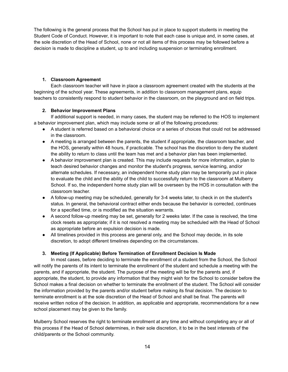The following is the general process that the School has put in place to support students in meeting the Student Code of Conduct. However, it is important to note that each case is unique and, in some cases, at the sole discretion of the Head of School, none or not all items of this process may be followed before a decision is made to discipline a student, up to and including suspension or terminating enrollment.

## **1. Classroom Agreement**

Each classroom teacher will have in place a classroom agreement created with the students at the beginning of the school year. These agreements, in addition to classroom management plans, equip teachers to consistently respond to student behavior in the classroom, on the playground and on field trips.

## **2. Behavior Improvement Plans**

If additional support is needed, in many cases, the student may be referred to the HOS to implement a behavior improvement plan, which may include some or all of the following procedures:

- A student is referred based on a behavioral choice or a series of choices that could not be addressed in the classroom.
- A meeting is arranged between the parents, the student if appropriate, the classroom teacher, and the HOS, generally within 48 hours, if practicable. The school has the discretion to deny the student the ability to return to class until the team has met and a behavior plan has been implemented.
- A behavior improvement plan is created. This may include requests for more information, a plan to teach desired behavior changes and monitor the student's progress, service learning, and/or alternate schedules. If necessary, an independent home study plan may be temporarily put in place to evaluate the child and the ability of the child to successfully return to the classroom at Mulberry School. If so, the independent home study plan will be overseen by the HOS in consultation with the classroom teacher.
- A follow-up meeting may be scheduled, generally for 3-4 weeks later, to check in on the student's status. In general, the behavioral contract either ends because the behavior is corrected, continues for a specified time, or is modified as the situation warrants.
- A second follow-up meeting may be set, generally for 2 weeks later. If the case is resolved, the time clock resets as appropriate; if it is not resolved a meeting may be scheduled with the Head of School as appropriate before an expulsion decision is made.
- All timelines provided in this process are general only, and the School may decide, in its sole discretion, to adopt different timelines depending on the circumstances.

# **3. Meeting (If Applicable) Before Termination of Enrollment Decision Is Made**

In most cases, before deciding to terminate the enrollment of a student from the School, the School will notify the parents of its intent to terminate the enrollment of the student and schedule a meeting with the parents, and if appropriate, the student. The purpose of the meeting will be for the parents and, if appropriate, the student, to provide any information that they might wish for the School to consider before the School makes a final decision on whether to terminate the enrollment of the student. The School will consider the information provided by the parents and/or student before making its final decision. The decision to terminate enrollment is at the sole discretion of the Head of School and shall be final. The parents will receive written notice of the decision. In addition, as applicable and appropriate, recommendations for a new school placement may be given to the family.

Mulberry School reserves the right to terminate enrollment at any time and without completing any or all of this process if the Head of School determines, in their sole discretion, it to be in the best interests of the child/parents or the School community.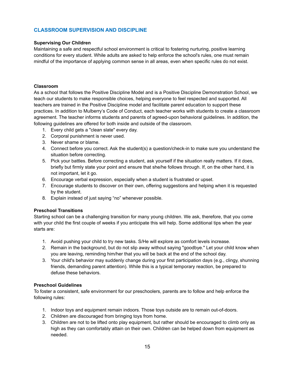# <span id="page-14-0"></span>**CLASSROOM SUPERVISION AND DISCIPLINE**

## **Supervising Our Children**

Maintaining a safe and respectful school environment is critical to fostering nurturing, positive learning conditions for every student. While adults are asked to help enforce the school's rules, one must remain mindful of the importance of applying common sense in all areas, even when specific rules do not exist.

## **Classroom**

As a school that follows the Positive Discipline Model and is a Positive Discipline Demonstration School, we teach our students to make responsible choices, helping everyone to feel respected and supported. All teachers are trained in the Positive Discipline model and facilitate parent education to support these practices. In addition to Mulberry's Code of Conduct, each teacher works with students to create a classroom agreement. The teacher informs students and parents of agreed-upon behavioral guidelines. In addition, the following guidelines are offered for both inside and outside of the classroom.

- 1. Every child gets a "clean slate" every day.
- 2. Corporal punishment is never used.
- 3. Never shame or blame.
- 4. Connect before you correct. Ask the student(s) a question/check-in to make sure you understand the situation before correcting.
- 5. Pick your battles. Before correcting a student, ask yourself if the situation really matters. If it does, briefly but firmly state your point and ensure that she/he follows through. If, on the other hand, it is not important, let it go.
- 6. Encourage verbal expression, especially when a student is frustrated or upset.
- 7. Encourage students to discover on their own, offering suggestions and helping when it is requested by the student.
- 8. Explain instead of just saying "no" whenever possible.

## **Preschool Transitions**

Starting school can be a challenging transition for many young children. We ask, therefore, that you come with your child the first couple of weeks if you anticipate this will help. Some additional tips when the year starts are:

- 1. Avoid pushing your child to try new tasks. S/He will explore as comfort levels increase.
- 2. Remain in the background, but do not slip away without saying "goodbye." Let your child know when you are leaving, reminding him/her that you will be back at the end of the school day.
- 3. Your child's behavior may suddenly change during your first participation days (e.g., clingy, shunning friends, demanding parent attention). While this is a typical temporary reaction, be prepared to defuse these behaviors.

## **Preschool Guidelines**

To foster a consistent, safe environment for our preschoolers, parents are to follow and help enforce the following rules:

- 1. Indoor toys and equipment remain indoors. Those toys outside are to remain out-of-doors.
- 2. Children are discouraged from bringing toys from home.
- 3. Children are not to be lifted onto play equipment, but rather should be encouraged to climb only as high as they can comfortably attain on their own. Children can be helped down from equipment as needed.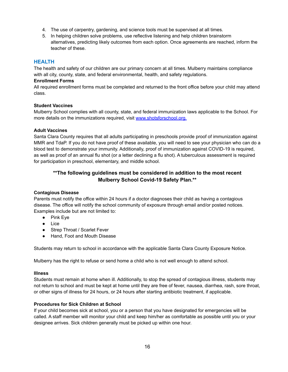- 4. The use of carpentry, gardening, and science tools must be supervised at all times.
- 5. In helping children solve problems, use reflective listening and help children brainstorm alternatives, predicting likely outcomes from each option. Once agreements are reached, inform the teacher of these.

## <span id="page-15-0"></span>**HEALTH**

The health and safety of our children are our primary concern at all times. Mulberry maintains compliance with all city, county, state, and federal environmental, health, and safety regulations.

#### **Enrollment Forms**

All required enrollment forms must be completed and returned to the front office before your child may attend class.

#### <span id="page-15-1"></span>**Student Vaccines**

Mulberry School complies with all county, state, and federal immunization laws applicable to the School. For more details on the immunizations required, visit [www.shotsforschool.org](http://www.shotsforschool.org).

#### <span id="page-15-2"></span>**Adult Vaccines**

Santa Clara County requires that all adults participating in preschools provide proof of immunization against MMR and TdaP. If you do not have proof of these available, you will need to see your physician who can do a blood test to demonstrate your immunity. Additionally, proof of immunization against COVID-19 is required, as well as proof of an annual flu shot (or a letter declining a flu shot). A tuberculous assessment is required for participation in preschool, elementary, and middle school.

# **\*\*The following guidelines must be considered in addition to the most recent Mulberry School Covid-19 Safety Plan.\*\***

#### <span id="page-15-3"></span>**Contagious Disease**

Parents must notify the office within 24 hours if a doctor diagnoses their child as having a contagious disease. The office will notify the school community of exposure through email and/or posted notices. Examples include but are not limited to:

- Pink Eye
- Lice
- Strep Throat / Scarlet Fever
- Hand, Foot and Mouth Disease

Students may return to school in accordance with the applicable Santa Clara County Exposure Notice.

Mulberry has the right to refuse or send home a child who is not well enough to attend school.

#### <span id="page-15-4"></span>**Illness**

Students must remain at home when ill. Additionally, to stop the spread of contagious illness, students may not return to school and must be kept at home until they are free of fever, nausea, diarrhea, rash, sore throat, or other signs of illness for 24 hours, or 24 hours after starting antibiotic treatment, if applicable.

#### <span id="page-15-5"></span>**Procedures for Sick Children at School**

If your child becomes sick at school, you or a person that you have designated for emergencies will be called. A staff member will monitor your child and keep him/her as comfortable as possible until you or your designee arrives. Sick children generally must be picked up within one hour.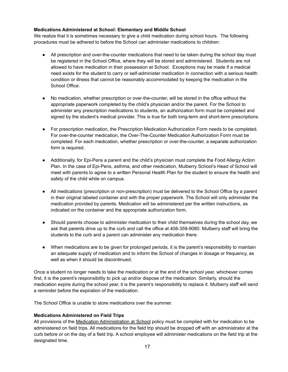## <span id="page-16-0"></span>**Medications Administered at School: Elementary and Middle School**

We realize that it is sometimes necessary to give a child medication during school hours. The following procedures must be adhered to before the School can administer medications to children:

- All prescription and over-the-counter medications that need to be taken during the school day must be registered in the School Office, where they will be stored and administered. Students are not allowed to have medication in their possession at School. Exceptions may be made if a medical need exists for the student to carry or self-administer medication in connection with a serious health condition or illness that cannot be reasonably accommodated by keeping the medication in the School Office.
- No medication, whether prescription or over-the-counter, will be stored in the office without the appropriate paperwork completed by the child's physician and/or the parent. For the School to administer any prescription medications to students, an authorization form must be completed and signed by the student's medical provider. This is true for both long-term and short-term prescriptions.
- For prescription medication, the Prescription Medication Authorization Form needs to be completed. For over-the-counter medication, the Over-The-Counter Medication Authorization Form must be completed. For each medication, whether prescription or over-the-counter, a separate authorization form is required.
- Additionally, for Epi-Pens a parent and the child's physician must complete the Food Allergy Action Plan. In the case of Epi-Pens, asthma, and other medication, Mulberry School's Head of School will meet with parents to agree to a written Personal Health Plan for the student to ensure the health and safety of the child while on campus.
- All medications (prescription or non-prescription) must be delivered to the School Office by a parent in their original labeled container and with the proper paperwork. The School will only administer the medication provided by parents. Medication will be administered per the written instructions, as indicated on the container and the appropriate authorization form.
- Should parents choose to administer medication to their child themselves during the school day, we ask that parents drive up to the curb and call the office at 408-359-9080. Mulberry staff will bring the students to the curb and a parent can administer any medication there.
- When medications are to be given for prolonged periods, it is the parent's responsibility to maintain an adequate supply of medication and to inform the School of changes in dosage or frequency, as well as when it should be discontinued.

Once a student no longer needs to take the medication or at the end of the school year, whichever comes first, it is the parent's responsibility to pick up and/or dispose of the medication. Similarly, should the medication expire during the school year, it is the parent's responsibility to replace it. Mulberry staff will send a reminder before the expiration of the medication.

The School Office is unable to store medications over the summer.

## **Medications Administered on Field Trips**

All provisions of the Medication Administration at School policy must be complied with for medication to be administered on field trips. All medications for the field trip should be dropped off with an administrator at the curb before or on the day of a field trip. A school employee will administer medications on the field trip at the designated time.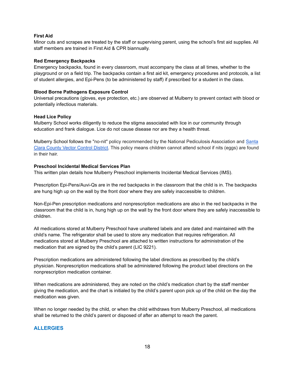## <span id="page-17-0"></span>**First Aid**

Minor cuts and scrapes are treated by the staff or supervising parent, using the school's first aid supplies. All staff members are trained in First Aid & CPR biannually.

#### <span id="page-17-1"></span>**Red Emergency Backpacks**

Emergency backpacks, found in every classroom, must accompany the class at all times, whether to the playground or on a field trip. The backpacks contain a first aid kit, emergency procedures and protocols, a list of student allergies, and Epi-Pens (to be administered by staff) if prescribed for a student in the class.

## **Blood Borne Pathogens Exposure Control**

Universal precautions (gloves, eye protection, etc.) are observed at Mulberry to prevent contact with blood or potentially infectious materials.

## **Head Lice Policy**

Mulberry School works diligently to reduce the stigma associated with lice in our community through education and frank dialogue. Lice do not cause disease nor are they a health threat.

Mulberry School follows the "no-nit" policy recommended by the National Pediculosis Association and [Santa](https://vector.sccgov.org/programs-and-services/headbody-lice) Clara County Vector [Control](https://vector.sccgov.org/programs-and-services/headbody-lice) District. This policy means children cannot attend school if nits (eggs) are found in their hair.

## <span id="page-17-2"></span>**Preschool Incidental Medical Services Plan**

This written plan details how Mulberry Preschool implements Incidental Medical Services (IMS).

Prescription Epi-Pens/Auvi-Qs are in the red backpacks in the classroom that the child is in. The backpacks are hung high up on the wall by the front door where they are safely inaccessible to children.

Non-Epi-Pen prescription medications and nonprescription medications are also in the red backpacks in the classroom that the child is in, hung high up on the wall by the front door where they are safely inaccessible to children.

All medications stored at Mulberry Preschool have unaltered labels and are dated and maintained with the child's name. The refrigerator shall be used to store any medication that requires refrigeration. All medications stored at Mulberry Preschool are attached to written instructions for administration of the medication that are signed by the child's parent (LIC 9221).

Prescription medications are administered following the label directions as prescribed by the child's physician. Nonprescription medications shall be administered following the product label directions on the nonprescription medication container.

When medications are administered, they are noted on the child's medication chart by the staff member giving the medication, and the chart is initialed by the child's parent upon pick up of the child on the day the medication was given.

When no longer needed by the child, or when the child withdraws from Mulberry Preschool, all medications shall be returned to the child's parent or disposed of after an attempt to reach the parent.

# <span id="page-17-3"></span>**ALLERGIES**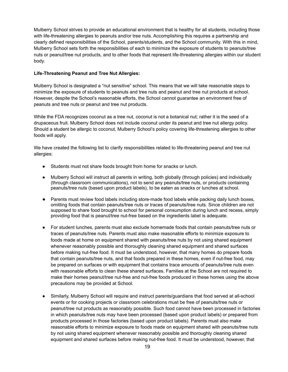Mulberry School strives to provide an educational environment that is healthy for all students, including those with life-threatening allergies to peanuts and/or tree nuts. Accomplishing this requires a partnership and clearly defined responsibilities of the School, parents/students, and the School community. With this in mind, Mulberry School sets forth the responsibilities of each to minimize the exposure of students to peanuts/tree nuts or peanut/tree nut products, and to other foods that represent life-threatening allergies within our student body.

## <span id="page-18-0"></span>**Life-Threatening Peanut and Tree Nut Allergies:**

Mulberry School is designated a "nut sensitive" school. This means that we will take reasonable steps to minimize the exposure of students to peanuts and tree nuts and peanut and tree nut products at school. However, despite the School's reasonable efforts, the School cannot guarantee an environment free of peanuts and tree nuts or peanut and tree nut products.

While the FDA recognizes coconut as a tree nut, coconut is not a botanical nut; rather it is the seed of a drupaceous fruit. Mulberry School does not include coconut under its peanut and tree nut allergy policy. Should a student be allergic to coconut, Mulberry School's policy covering life-threatening allergies to other foods will apply.

We have created the following list to clarify responsibilities related to life-threatening peanut and tree nut allergies:

- Students must not share foods brought from home for snacks or lunch.
- Mulberry School will instruct all parents in writing, both globally (through policies) and individually (through classroom communications), not to send any peanuts/tree nuts, or products containing peanuts/tree nuts (based upon product labels), to be eaten as snacks or lunches at school.
- Parents must review food labels including store-made food labels while packing daily lunch boxes, omitting foods that contain peanuts/tree nuts or traces of peanuts/tree nuts. Since children are not supposed to share food brought to school for personal consumption during lunch and recess, simply providing food that is peanut/tree nut-free based on the ingredients label is adequate.
- For student lunches, parents must also exclude homemade foods that contain peanuts/tree nuts or traces of peanuts/tree nuts. Parents must also make reasonable efforts to minimize exposure to foods made at home on equipment shared with peanuts/tree nuts by not using shared equipment whenever reasonably possible and thoroughly cleaning shared equipment and shared surfaces before making nut-free food. It must be understood, however, that many homes do prepare foods that contain peanuts/tree nuts, and that foods prepared in these homes, even if nut-free food, may be prepared on surfaces or with equipment that contains trace amounts of peanuts/tree nuts even with reasonable efforts to clean these shared surfaces. Families at the School are not required to make their homes peanut/tree nut-free and nut-free foods produced in these homes using the above precautions may be provided at School.
- Similarly, Mulberry School will require and instruct parents/guardians that food served at all-school events or for cooking projects or classroom celebrations must be free of peanuts/tree nuts or peanut/tree nut products as reasonably possible. Such food cannot have been processed in factories in which peanuts/tree nuts may have been processed (based upon product labels) or prepared from products processed in those factories (based upon product labels). Parents must also make reasonable efforts to minimize exposure to foods made on equipment shared with peanuts/tree nuts by not using shared equipment whenever reasonably possible and thoroughly cleaning shared equipment and shared surfaces before making nut-free food. It must be understood, however, that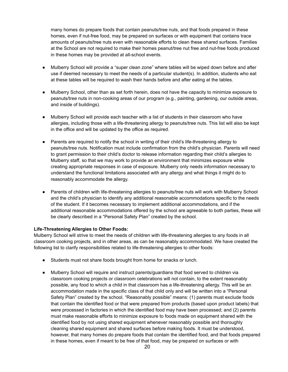many homes do prepare foods that contain peanuts/tree nuts, and that foods prepared in these homes, even if nut-free food, may be prepared on surfaces or with equipment that contains trace amounts of peanuts/tree nuts even with reasonable efforts to clean these shared surfaces. Families at the School are not required to make their homes peanut/tree nut free and nut-free foods produced in these homes may be provided at all-school events.

- Mulberry School will provide a "super clean zone" where tables will be wiped down before and after use if deemed necessary to meet the needs of a particular student(s). In addition, students who eat at these tables will be required to wash their hands before and after eating at the tables.
- Mulberry School, other than as set forth herein, does not have the capacity to minimize exposure to peanuts/tree nuts in non-cooking areas of our program (e.g., painting, gardening, our outside areas, and inside of buildings).
- Mulberry School will provide each teacher with a list of students in their classroom who have allergies, including those with a life-threatening allergy to peanuts/tree nuts. This list will also be kept in the office and will be updated by the office as required.
- Parents are required to notify the school in writing of their child's life-threatening allergy to peanuts/tree nuts. Notification must include confirmation from the child's physician. Parents will need to grant permission to their child's doctor to release information regarding their child's allergies to Mulberry staff, so that we may work to provide an environment that minimizes exposure while creating appropriate responses in case of exposure. Mulberry only needs information necessary to understand the functional limitations associated with any allergy and what things it might do to reasonably accommodate the allergy.
- Parents of children with life-threatening allergies to peanuts/tree nuts will work with Mulberry School and the child's physician to identify any additional reasonable accommodations specific to the needs of the student. If it becomes necessary to implement additional accommodations, and if the additional reasonable accommodations offered by the school are agreeable to both parties, these will be clearly described in a "Personal Safety Plan" created by the school.

## <span id="page-19-0"></span>**Life-Threatening Allergies to Other Foods:**

Mulberry School will strive to meet the needs of children with life-threatening allergies to any foods in all classroom cooking projects, and in other areas, as can be reasonably accommodated. We have created the following list to clarify responsibilities related to life-threatening allergies to other foods:

- Students must not share foods brought from home for snacks or lunch.
- Mulberry School will require and instruct parents/guardians that food served to children via classroom cooking projects or classroom celebrations will not contain, to the extent reasonably possible, any food to which a child in that classroom has a life-threatening allergy. This will be an accommodation made in the specific class of that child only and will be written into a "Personal Safety Plan" created by the school. "Reasonably possible" means: (1) parents must exclude foods that contain the identified food or that were prepared from products (based upon product labels) that were processed in factories in which the identified food may have been processed; and (2) parents must make reasonable efforts to minimize exposure to foods made on equipment shared with the identified food by not using shared equipment whenever reasonably possible and thoroughly cleaning shared equipment and shared surfaces before making foods. It must be understood, however, that many homes do prepare foods that contain the identified food, and that foods prepared in these homes, even if meant to be free of that food, may be prepared on surfaces or with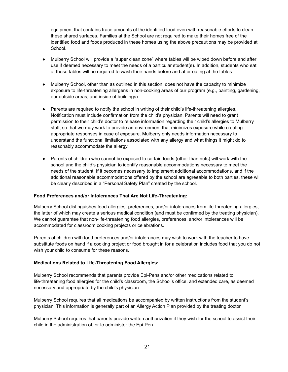equipment that contains trace amounts of the identified food even with reasonable efforts to clean these shared surfaces. Families at the School are not required to make their homes free of the identified food and foods produced in these homes using the above precautions may be provided at School.

- Mulberry School will provide a "super clean zone" where tables will be wiped down before and after use if deemed necessary to meet the needs of a particular student(s). In addition, students who eat at these tables will be required to wash their hands before and after eating at the tables.
- Mulberry School, other than as outlined in this section, does not have the capacity to minimize exposure to life-threatening allergens in non-cooking areas of our program (e.g., painting, gardening, our outside areas, and inside of buildings).
- Parents are required to notify the school in writing of their child's life-threatening allergies. Notification must include confirmation from the child's physician. Parents will need to grant permission to their child's doctor to release information regarding their child's allergies to Mulberry staff, so that we may work to provide an environment that minimizes exposure while creating appropriate responses in case of exposure. Mulberry only needs information necessary to understand the functional limitations associated with any allergy and what things it might do to reasonably accommodate the allergy.
- Parents of children who cannot be exposed to certain foods (other than nuts) will work with the school and the child's physician to identify reasonable accommodations necessary to meet the needs of the student. If it becomes necessary to implement additional accommodations, and if the additional reasonable accommodations offered by the school are agreeable to both parties, these will be clearly described in a "Personal Safety Plan" created by the school.

#### <span id="page-20-0"></span>**Food Preferences and/or Intolerances That Are Not Life-Threatening:**

Mulberry School distinguishes food allergies, preferences, and/or intolerances from life-threatening allergies, the latter of which may create a serious medical condition (and must be confirmed by the treating physician). We cannot guarantee that non-life-threatening food allergies, preferences, and/or intolerances will be accommodated for classroom cooking projects or celebrations.

Parents of children with food preferences and/or intolerances may wish to work with the teacher to have substitute foods on hand if a cooking project or food brought in for a celebration includes food that you do not wish your child to consume for these reasons.

#### <span id="page-20-1"></span>**Medications Related to Life-Threatening Food Allergies:**

Mulberry School recommends that parents provide Epi-Pens and/or other medications related to life-threatening food allergies for the child's classroom, the School's office, and extended care, as deemed necessary and appropriate by the child's physician.

Mulberry School requires that all medications be accompanied by written instructions from the student's physician. This information is generally part of an Allergy Action Plan provided by the treating doctor.

Mulberry School requires that parents provide written authorization if they wish for the school to assist their child in the administration of, or to administer the Epi-Pen.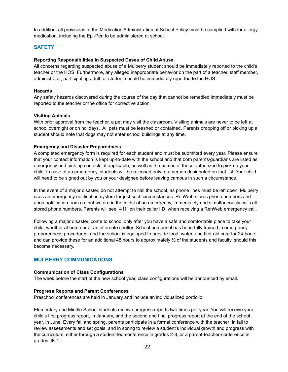In addition, all provisions of the Medication Administration at School Policy must be complied with for allergy medication, including the Epi-Pen to be administered at school.

## <span id="page-21-0"></span>**SAFETY**

## <span id="page-21-1"></span>**Reporting Responsibilities in Suspected Cases of Child Abuse**

All concerns regarding suspected abuse of a Mulberry student should be immediately reported to the child's teacher or the HOS. Furthermore, any alleged inappropriate behavior on the part of a teacher, staff member, administrator, participating adult, or student should be immediately reported to the HOS.

## **Hazards**

Any safety hazards discovered during the course of the day that cannot be remedied immediately must be reported to the teacher or the office for corrective action.

## <span id="page-21-2"></span>**Visiting Animals**

With prior approval from the teacher, a pet may visit the classroom. Visiting animals are never to be left at school overnight or on holidays. All pets must be leashed or contained. Parents dropping off or picking up a student should note that dogs may not enter school buildings at any time.

## <span id="page-21-3"></span>**Emergency and Disaster Preparedness**

A completed emergency form is required for each student and must be submitted every year. Please ensure that your contact information is kept up-to-date with the school and that both parents/guardians are listed as emergency and pick-up contacts, if applicable, as well as the names of those authorized to pick up your child. In case of an emergency, students will be released only to a person designated on that list. Your child will need to be signed out by you or your designee before leaving campus in such a circumstance.

In the event of a major disaster, do not attempt to call the school, as phone lines must be left open. Mulberry uses an emergency notification system for just such circumstances. RenWeb stores phone numbers and upon notification from us that we are in the midst of an emergency, immediately and simultaneously calls all stored phone numbers. Parents will see "411" on their caller I.D. when receiving a RenWeb emergency call.

Following a major disaster, come to school only after you have a safe and comfortable place to take your child, whether at home or at an alternate shelter. School personnel has been fully trained in emergency preparedness procedures, and the school is equipped to provide food, water, and first-aid care for 24-hours and can provide these for an additional 48 hours to approximately  $\frac{1}{2}$  of the students and faculty, should this become necessary.

# <span id="page-21-4"></span>**MULBERRY COMMUNICATIONS**

#### **Communication of Class Configurations**

The week before the start of the new school year, class configurations will be announced by email.

#### **Progress Reports and Parent Conferences**

Preschool conferences are held in January and include an individualized portfolio.

Elementary and Middle School students receive progress reports two times per year. You will receive your child's first progress report, in January, and the second and final progress report at the end of the school year, in June. Every fall and spring, parents participate in a formal conference with the teacher: in fall to review assessments and set goals, and in spring to review a student's individual growth and progress with the curriculum, either through a student-led-conference in grades 2-8, or a parent-teacher-conference in grades JK-1.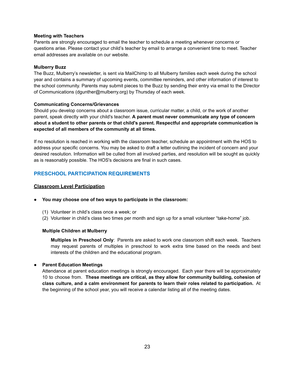## **Meeting with Teachers**

Parents are strongly encouraged to email the teacher to schedule a meeting whenever concerns or questions arise. Please contact your child's teacher by email to arrange a convenient time to meet. Teacher email addresses are available on our website.

## **Mulberry Buzz**

The Buzz, Mulberry's newsletter, is sent via MailChimp to all Mulberry families each week during the school year and contains a summary of upcoming events, committee reminders, and other information of interest to the school community. Parents may submit pieces to the Buzz by sending their entry via email to the Director of Communications (dgunther@mulberry.org) by Thursday of each week.

## **Communicating Concerns/Grievances**

Should you develop concerns about a classroom issue, curricular matter, a child, or the work of another parent, speak directly with your child's teacher. **A parent must never communicate any type of concern about a student to other parents or that child's parent. Respectful and appropriate communication is expected of all members of the community at all times.**

If no resolution is reached in working with the classroom teacher, schedule an appointment with the HOS to address your specific concerns. You may be asked to draft a letter outlining the incident of concern and your desired resolution. Information will be culled from all involved parties, and resolution will be sought as quickly as is reasonably possible. The HOS's decisions are final in such cases.

# <span id="page-22-0"></span>**PRESCHOOL PARTICIPATION REQUIREMENTS**

## **Classroom Level Participation**

#### **● You may choose one of two ways to participate in the classroom:**

- (1) Volunteer in child's class once a week; or
- (2) Volunteer in child's class two times per month and sign up for a small volunteer "take-home" job.

#### **Multiple Children at Mulberry**

**Multiples in Preschool Only**: Parents are asked to work one classroom shift each week. Teachers may request parents of multiples in preschool to work extra time based on the needs and best interests of the children and the educational program.

## **● Parent Education Meetings**

Attendance at parent education meetings is strongly encouraged. Each year there will be approximately 10 to choose from. **These meetings are critical, as they allow for community building, cohesion of class culture, and a calm environment for parents to learn their roles related to participation.** At the beginning of the school year, you will receive a calendar listing all of the meeting dates.